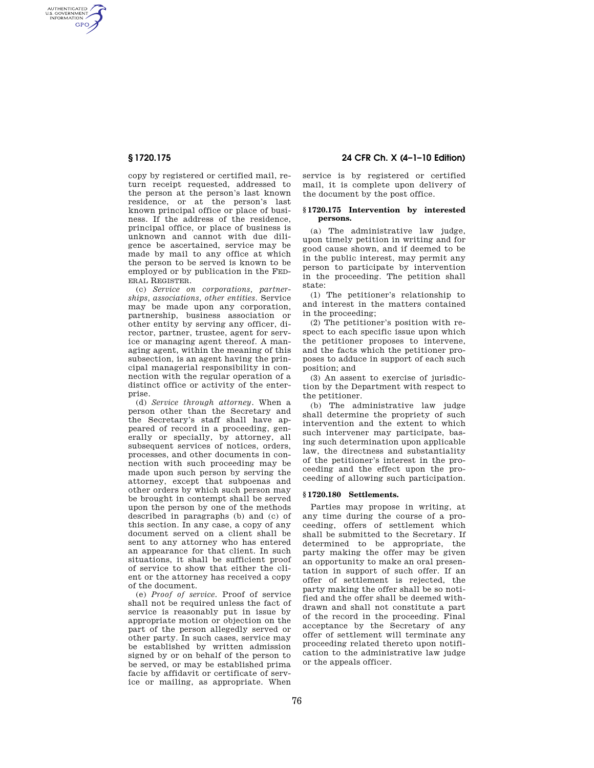AUTHENTICATED<br>U.S. GOVERNMENT<br>INFORMATION **GPO** 

> copy by registered or certified mail, return receipt requested, addressed to the person at the person's last known residence, or at the person's last known principal office or place of business. If the address of the residence, principal office, or place of business is unknown and cannot with due diligence be ascertained, service may be made by mail to any office at which the person to be served is known to be employed or by publication in the FED-ERAL REGISTER.

> (c) *Service on corporations, partnerships, associations, other entities.* Service may be made upon any corporation, partnership, business association or other entity by serving any officer, director, partner, trustee, agent for service or managing agent thereof. A managing agent, within the meaning of this subsection, is an agent having the principal managerial responsibility in connection with the regular operation of a distinct office or activity of the enterprise.

> (d) *Service through attorney.* When a person other than the Secretary and the Secretary's staff shall have appeared of record in a proceeding, generally or specially, by attorney, all subsequent services of notices, orders, processes, and other documents in connection with such proceeding may be made upon such person by serving the attorney, except that subpoenas and other orders by which such person may be brought in contempt shall be served upon the person by one of the methods described in paragraphs (b) and (c) of this section. In any case, a copy of any document served on a client shall be sent to any attorney who has entered an appearance for that client. In such situations, it shall be sufficient proof of service to show that either the client or the attorney has received a copy of the document.

> (e) *Proof of service.* Proof of service shall not be required unless the fact of service is reasonably put in issue by appropriate motion or objection on the part of the person allegedly served or other party. In such cases, service may be established by written admission signed by or on behalf of the person to be served, or may be established prima facie by affidavit or certificate of service or mailing, as appropriate. When

# **§ 1720.175 24 CFR Ch. X (4–1–10 Edition)**

service is by registered or certified mail, it is complete upon delivery of the document by the post office.

## **§ 1720.175 Intervention by interested persons.**

(a) The administrative law judge, upon timely petition in writing and for good cause shown, and if deemed to be in the public interest, may permit any person to participate by intervention in the proceeding. The petition shall state:

(1) The petitioner's relationship to and interest in the matters contained in the proceeding;

(2) The petitioner's position with respect to each specific issue upon which the petitioner proposes to intervene, and the facts which the petitioner proposes to adduce in support of each such position; and

(3) An assent to exercise of jurisdiction by the Department with respect to the petitioner.

(b) The administrative law judge shall determine the propriety of such intervention and the extent to which such intervener may participate, basing such determination upon applicable law, the directness and substantiality of the petitioner's interest in the proceeding and the effect upon the proceeding of allowing such participation.

# **§ 1720.180 Settlements.**

Parties may propose in writing, at any time during the course of a proceeding, offers of settlement which shall be submitted to the Secretary. If determined to be appropriate, the party making the offer may be given an opportunity to make an oral presentation in support of such offer. If an offer of settlement is rejected, the party making the offer shall be so notified and the offer shall be deemed withdrawn and shall not constitute a part of the record in the proceeding. Final acceptance by the Secretary of any offer of settlement will terminate any proceeding related thereto upon notification to the administrative law judge or the appeals officer.